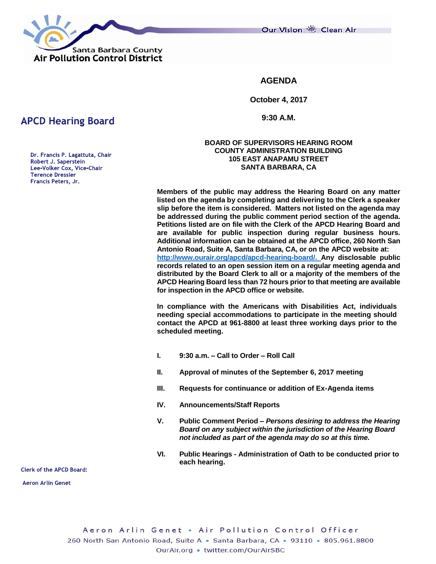Our Vision 卷 Clean Air



**AGENDA**

**October 4, 2017**

**9:30 A.M.**

### **BOARD OF SUPERVISORS HEARING ROOM COUNTY ADMINISTRATION BUILDING 105 EAST ANAPAMU STREET SANTA BARBARA, CA**

**Members of the public may address the Hearing Board on any matter listed on the agenda by completing and delivering to the Clerk a speaker slip before the item is considered. Matters not listed on the agenda may be addressed during the public comment period section of the agenda. Petitions listed are on file with the Clerk of the APCD Hearing Board and are available for public inspection during regular business hours. Additional information can be obtained at the APCD office, 260 North San Antonio Road, Suite A, Santa Barbara, CA, or on the APCD website at: [http://www.ourair.org/apcd/apcd-hearing-board/.](http://www.ourair.org/apcd/apcd-hearing-board/) Any disclosable public records related to an open session item on a regular meeting agenda and distributed by the Board Clerk to all or a majority of the members of the APCD Hearing Board less than 72 hours prior to that meeting are available for inspection in the APCD office or website.**

**In compliance with the Americans with Disabilities Act, individuals needing special accommodations to participate in the meeting should contact the APCD at 961-8800 at least three working days prior to the scheduled meeting.**

- **I. 9:30 a.m. – Call to Order – Roll Call**
- **II. Approval of minutes of the September 6, 2017 meeting**
- **III. Requests for continuance or addition of Ex-Agenda items**
- **IV. Announcements/Staff Reports**
- **V. Public Comment Period –** *Persons desiring to address the Hearing Board on any subject within the jurisdiction of the Hearing Board not included as part of the agenda may do so at this time.*
- **VI. Public Hearings - Administration of Oath to be conducted prior to each hearing.**

**Clerk of the APCD Board:** 

**Aeron Arlin Genet** 

# **APCD Hearing Board**

Dr. Francis P. Lagattuta, Chair Robert J. Saperstein Lee-Volker Cox, Vice-Chair **Terence Dressler** Francis Peters, Jr.